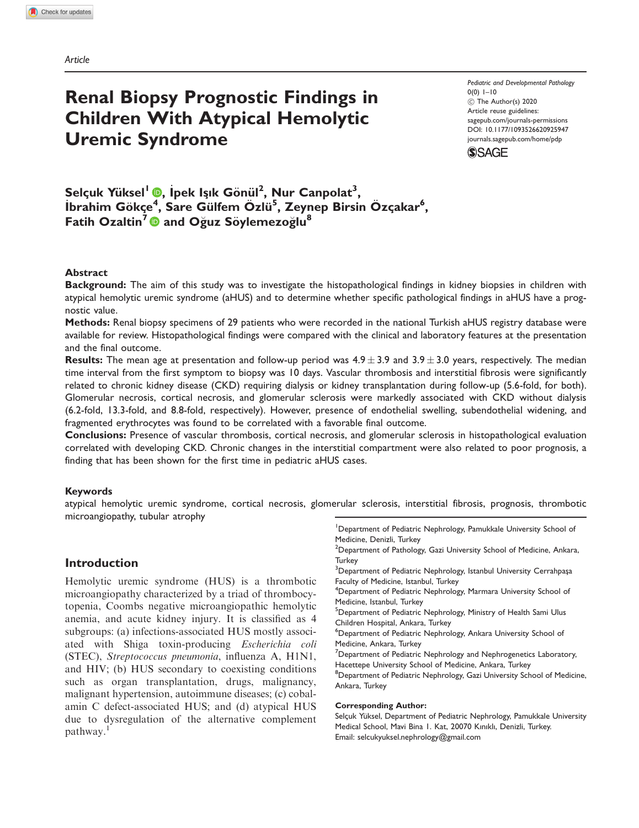Article

# Renal Biopsy Prognostic Findings in Children With Atypical Hemolytic Uremic Syndrome

Pediatric and Developmental Pathology  $0(0)$  1–10  $\circledcirc$  The Author(s) 2020 Article reuse guidelines: [sagepub.com/journals-permissions](http://uk.sagepub.com/en-gb/journals-permissions) [DOI: 10.1177/1093526620925947](http://dx.doi.org/10.1177/1093526620925947) <journals.sagepub.com/home/pdp>



Selçuk Yüksel $^{\mathsf{I}}$  (D), İpek Işık Gönül $^{\mathsf{2}}$ , Nur Canpolat $^{\mathsf{3}}$ Selçuk Yüksel' ©, Ipek Işık Gönül<sup>2</sup>, Nur Canpolat<sup>3</sup>,<br>İbrahim Gökçe<sup>4</sup>, Sare Gülfem Özlü<sup>5</sup>, Zeynep Birsin Özçakar<sup>6</sup>, Fatih Ozaltin $^7$   $\textcolor{blue}\bullet$  and Oğuz Söylemezoğlu $^8$ 

## Abstract

Background: The aim of this study was to investigate the histopathological findings in kidney biopsies in children with atypical hemolytic uremic syndrome (aHUS) and to determine whether specific pathological findings in aHUS have a prognostic value.

Methods: Renal biopsy specimens of 29 patients who were recorded in the national Turkish aHUS registry database were available for review. Histopathological findings were compared with the clinical and laboratory features at the presentation and the final outcome.

**Results:** The mean age at presentation and follow-up period was  $4.9 \pm 3.9$  and  $3.9 \pm 3.0$  years, respectively. The median time interval from the first symptom to biopsy was 10 days. Vascular thrombosis and interstitial fibrosis were significantly related to chronic kidney disease (CKD) requiring dialysis or kidney transplantation during follow-up (5.6-fold, for both). Glomerular necrosis, cortical necrosis, and glomerular sclerosis were markedly associated with CKD without dialysis (6.2-fold, 13.3-fold, and 8.8-fold, respectively). However, presence of endothelial swelling, subendothelial widening, and fragmented erythrocytes was found to be correlated with a favorable final outcome.

Conclusions: Presence of vascular thrombosis, cortical necrosis, and glomerular sclerosis in histopathological evaluation correlated with developing CKD. Chronic changes in the interstitial compartment were also related to poor prognosis, a finding that has been shown for the first time in pediatric aHUS cases.

## Keywords

atypical hemolytic uremic syndrome, cortical necrosis, glomerular sclerosis, interstitial fibrosis, prognosis, thrombotic microangiopathy, tubular atrophy

## Introduction

Hemolytic uremic syndrome (HUS) is a thrombotic microangiopathy characterized by a triad of thrombocytopenia, Coombs negative microangiopathic hemolytic anemia, and acute kidney injury. It is classified as 4 subgroups: (a) infections-associated HUS mostly associated with Shiga toxin-producing Escherichia coli (STEC), Streptococcus pneumonia, influenza A, H1N1, and HIV; (b) HUS secondary to coexisting conditions such as organ transplantation, drugs, malignancy, malignant hypertension, autoimmune diseases; (c) cobalamin C defect-associated HUS; and (d) atypical HUS due to dysregulation of the alternative complement pathway.<sup>1</sup>

<sup>1</sup>Department of Pediatric Nephrology, Pamukkale University School of Medicine, Denizli, Turkey

<sup>2</sup>Department of Pathology, Gazi University School of Medicine, Ankara, **Turkey** 

<sup>3</sup>Department of Pediatric Nephrology, Istanbul University Cerrahpaşa Faculty of Medicine, Istanbul, Turkey

<sup>4</sup>Department of Pediatric Nephrology, Marmara University School of Medicine, Istanbul, Turkey

<sup>5</sup>Department of Pediatric Nephrology, Ministry of Health Sami Ulus Children Hospital, Ankara, Turkey

6 Department of Pediatric Nephrology, Ankara University School of Medicine, Ankara, Turkey

 $\mathrm{^{7}D}$ epartment of Pediatric Nephrology and Nephrogenetics Laboratory, Hacettepe University School of Medicine, Ankara, Turkey

<sup>8</sup>Department of Pediatric Nephrology, Gazi University School of Medicine, Ankara, Turkey

#### Corresponding Author:

Selçuk Yüksel, Department of Pediatric Nephrology, Pamukkale University Medical School, Mavi Bina 1. Kat, 20070 Kınıklı, Denizli, Turkey. Email: [selcukyuksel.nephrology@gmail.com](mailto:selcukyuksel.nephrology@gmail.com)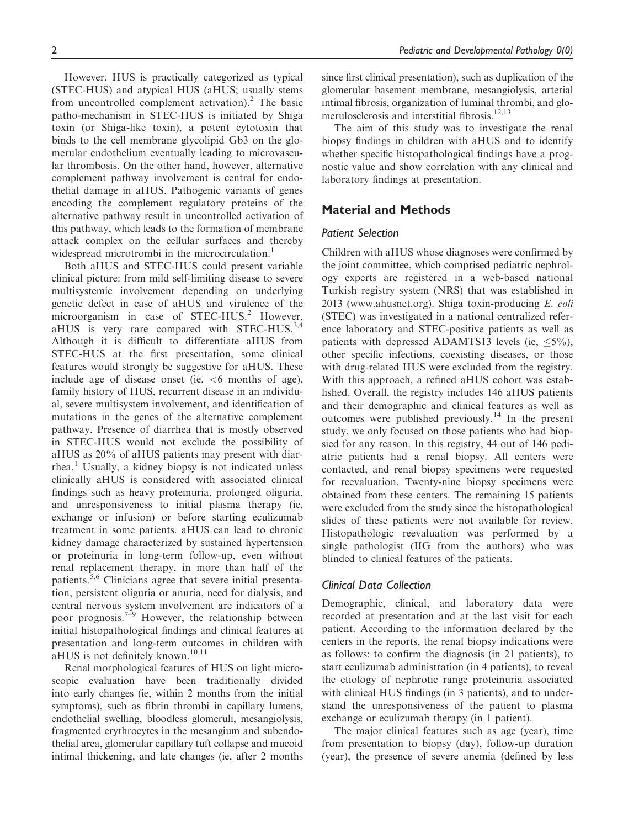However, HUS is practically categorized as typical (STEC-HUS) and atypical HUS (aHUS; usually stems from uncontrolled complement activation).<sup>2</sup> The basic patho-mechanism in STEC-HUS is initiated by Shiga toxin (or Shiga-like toxin), a potent cytotoxin that binds to the cell membrane glycolipid Gb3 on the glomerular endothelium eventually leading to microvascular thrombosis. On the other hand, however, alternative complement pathway involvement is central for endothelial damage in aHUS. Pathogenic variants of genes encoding the complement regulatory proteins of the alternative pathway result in uncontrolled activation of this pathway, which leads to the formation of membrane attack complex on the cellular surfaces and thereby widespread microtrombi in the microcirculation.<sup>1</sup>

Both aHUS and STEC-HUS could present variable clinical picture: from mild self-limiting disease to severe multisystemic involvement depending on underlying genetic defect in case of aHUS and virulence of the microorganism in case of STEC-HUS.<sup>2</sup> However, aHUS is very rare compared with STEC-HUS.<sup>3,4</sup> Although it is difficult to differentiate aHUS from STEC-HUS at the first presentation, some clinical features would strongly be suggestive for aHUS. These include age of disease onset (ie,  $<6$  months of age), family history of HUS, recurrent disease in an individual, severe multisystem involvement, and identification of mutations in the genes of the alternative complement pathway. Presence of diarrhea that is mostly observed in STEC-HUS would not exclude the possibility of aHUS as 20% of aHUS patients may present with diarrhea.<sup>1</sup> Usually, a kidney biopsy is not indicated unless clinically aHUS is considered with associated clinical findings such as heavy proteinuria, prolonged oliguria, and unresponsiveness to initial plasma therapy (ie, exchange or infusion) or before starting eculizumab treatment in some patients. aHUS can lead to chronic kidney damage characterized by sustained hypertension or proteinuria in long-term follow-up, even without renal replacement therapy, in more than half of the patients.5,6 Clinicians agree that severe initial presentation, persistent oliguria or anuria, need for dialysis, and central nervous system involvement are indicators of a poor prognosis.<sup>7–9</sup> However, the relationship between initial histopathological findings and clinical features at presentation and long-term outcomes in children with aHUS is not definitely known.<sup>10,11</sup>

Renal morphological features of HUS on light microscopic evaluation have been traditionally divided into early changes (ie, within 2 months from the initial symptoms), such as fibrin thrombi in capillary lumens, endothelial swelling, bloodless glomeruli, mesangiolysis, fragmented erythrocytes in the mesangium and subendothelial area, glomerular capillary tuft collapse and mucoid intimal thickening, and late changes (ie, after 2 months

since first clinical presentation), such as duplication of the glomerular basement membrane, mesangiolysis, arterial intimal fibrosis, organization of luminal thrombi, and glomerulosclerosis and interstitial fibrosis.<sup>12,13</sup>

The aim of this study was to investigate the renal biopsy findings in children with aHUS and to identify whether specific histopathological findings have a prognostic value and show correlation with any clinical and laboratory findings at presentation.

## Material and Methods

## Patient Selection

Children with aHUS whose diagnoses were confirmed by the joint committee, which comprised pediatric nephrology experts are registered in a web-based national Turkish registry system (NRS) that was established in 2013 ([www.ahusnet.org\)](www.ahusnet.org). Shiga toxin-producing E. coli (STEC) was investigated in a national centralized reference laboratory and STEC-positive patients as well as patients with depressed ADAMTS13 levels (ie,  $\leq 5\%$ ), other specific infections, coexisting diseases, or those with drug-related HUS were excluded from the registry. With this approach, a refined aHUS cohort was established. Overall, the registry includes 146 aHUS patients and their demographic and clinical features as well as outcomes were published previously.<sup>14</sup> In the present study, we only focused on those patients who had biopsied for any reason. In this registry, 44 out of 146 pediatric patients had a renal biopsy. All centers were contacted, and renal biopsy specimens were requested for reevaluation. Twenty-nine biopsy specimens were obtained from these centers. The remaining 15 patients were excluded from the study since the histopathological slides of these patients were not available for review. Histopathologic reevaluation was performed by a single pathologist (IIG from the authors) who was blinded to clinical features of the patients.

## Clinical Data Collection

Demographic, clinical, and laboratory data were recorded at presentation and at the last visit for each patient. According to the information declared by the centers in the reports, the renal biopsy indications were as follows: to confirm the diagnosis (in 21 patients), to start eculizumab administration (in 4 patients), to reveal the etiology of nephrotic range proteinuria associated with clinical HUS findings (in 3 patients), and to understand the unresponsiveness of the patient to plasma exchange or eculizumab therapy (in 1 patient).

The major clinical features such as age (year), time from presentation to biopsy (day), follow-up duration (year), the presence of severe anemia (defined by less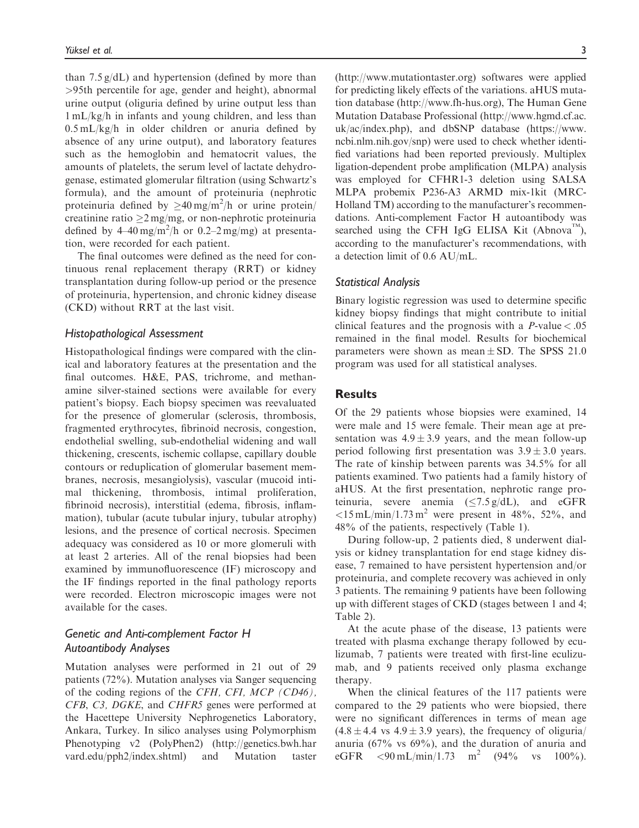than  $7.5 \text{ g/d}$ L) and hypertension (defined by more than >95th percentile for age, gender and height), abnormal urine output (oliguria defined by urine output less than 1 mL/kg/h in infants and young children, and less than  $0.5$  mL/kg/h in older children or anuria defined by absence of any urine output), and laboratory features such as the hemoglobin and hematocrit values, the amounts of platelets, the serum level of lactate dehydrogenase, estimated glomerular filtration (using Schwartz's formula), and the amount of proteinuria (nephrotic proteinuria defined by  $\geq 40$  mg/m<sup>2</sup>/h or urine protein/ creatinine ratio  $>2$  mg/mg, or non-nephrotic proteinuria defined by  $4-40 \text{ mg/m}^2/h$  or 0.2–2 mg/mg) at presentation, were recorded for each patient.

The final outcomes were defined as the need for continuous renal replacement therapy (RRT) or kidney transplantation during follow-up period or the presence of proteinuria, hypertension, and chronic kidney disease (CKD) without RRT at the last visit.

#### Histopathological Assessment

Histopathological findings were compared with the clinical and laboratory features at the presentation and the final outcomes. H&E, PAS, trichrome, and methanamine silver-stained sections were available for every patient's biopsy. Each biopsy specimen was reevaluated for the presence of glomerular (sclerosis, thrombosis, fragmented erythrocytes, fibrinoid necrosis, congestion, endothelial swelling, sub-endothelial widening and wall thickening, crescents, ischemic collapse, capillary double contours or reduplication of glomerular basement membranes, necrosis, mesangiolysis), vascular (mucoid intimal thickening, thrombosis, intimal proliferation, fibrinoid necrosis), interstitial (edema, fibrosis, inflammation), tubular (acute tubular injury, tubular atrophy) lesions, and the presence of cortical necrosis. Specimen adequacy was considered as 10 or more glomeruli with at least 2 arteries. All of the renal biopsies had been examined by immunofluorescence (IF) microscopy and the IF findings reported in the final pathology reports were recorded. Electron microscopic images were not available for the cases.

## Genetic and Anti-complement Factor H Autoantibody Analyses

Mutation analyses were performed in 21 out of 29 patients (72%). Mutation analyses via Sanger sequencing of the coding regions of the CFH, CFI, MCP (CD46), CFB, C3, DGKE, and CHFR5 genes were performed at the Hacettepe University Nephrogenetics Laboratory, Ankara, Turkey. In silico analyses using Polymorphism Phenotyping v2 (PolyPhen2) ([http://genetics.bwh.har](http://genetics.bwh.harvard.edu/pph2/index.shtml) [vard.edu/pph2/index.shtml](http://genetics.bwh.harvard.edu/pph2/index.shtml)) and Mutation taster

(<http://www.mutationtaster.org>) softwares were applied for predicting likely effects of the variations. aHUS mutation database (<http://www.fh-hus.org>), The Human Gene Mutation Database Professional ([http://www.hgmd.cf.ac.](http://www.hgmd.cf.ac.uk/ac/index.php) [uk/ac/index.php](http://www.hgmd.cf.ac.uk/ac/index.php)), and dbSNP database [\(https://www.](https://www.ncbi.nlm.nih.gov/snp) [ncbi.nlm.nih.gov/snp\)](https://www.ncbi.nlm.nih.gov/snp) were used to check whether identified variations had been reported previously. Multiplex ligation-dependent probe amplification (MLPA) analysis was employed for CFHR1-3 deletion using SALSA MLPA probemix P236-A3 ARMD mix-1kit (MRC-Holland TM) according to the manufacturer's recommendations. Anti-complement Factor H autoantibody was searched using the CFH IgG ELISA Kit  $(Abnova^{\text{TM}})$ , according to the manufacturer's recommendations, with

## Statistical Analysis

a detection limit of 0.6 AU/mL.

Binary logistic regression was used to determine specific kidney biopsy findings that might contribute to initial clinical features and the prognosis with a  $P$ -value  $< .05$ remained in the final model. Results for biochemical parameters were shown as mean  $\pm$  SD. The SPSS 21.0 program was used for all statistical analyses.

## **Results**

Of the 29 patients whose biopsies were examined, 14 were male and 15 were female. Their mean age at presentation was  $4.9 \pm 3.9$  years, and the mean follow-up period following first presentation was  $3.9 \pm 3.0$  years. The rate of kinship between parents was 34.5% for all patients examined. Two patients had a family history of aHUS. At the first presentation, nephrotic range proteinuria, severe anemia  $(\leq 7.5 \text{ g/dL})$ , and eGFR  $\langle 15 \text{ mL/min}/1.73 \text{ m}^2$  were present in 48%, 52%, and 48% of the patients, respectively (Table 1).

During follow-up, 2 patients died, 8 underwent dialysis or kidney transplantation for end stage kidney disease, 7 remained to have persistent hypertension and/or proteinuria, and complete recovery was achieved in only 3 patients. The remaining 9 patients have been following up with different stages of CKD (stages between 1 and 4; Table 2).

At the acute phase of the disease, 13 patients were treated with plasma exchange therapy followed by eculizumab, 7 patients were treated with first-line eculizumab, and 9 patients received only plasma exchange therapy.

When the clinical features of the 117 patients were compared to the 29 patients who were biopsied, there were no significant differences in terms of mean age  $(4.8 \pm 4.4 \text{ vs } 4.9 \pm 3.9 \text{ years})$ , the frequency of oliguria anuria (67% vs 69%), and the duration of anuria and eGFR  $\langle 90 \text{ mL/min}/1.73 \text{ m}^2 \langle 94\% \text{ vs } 100\% \rangle$ .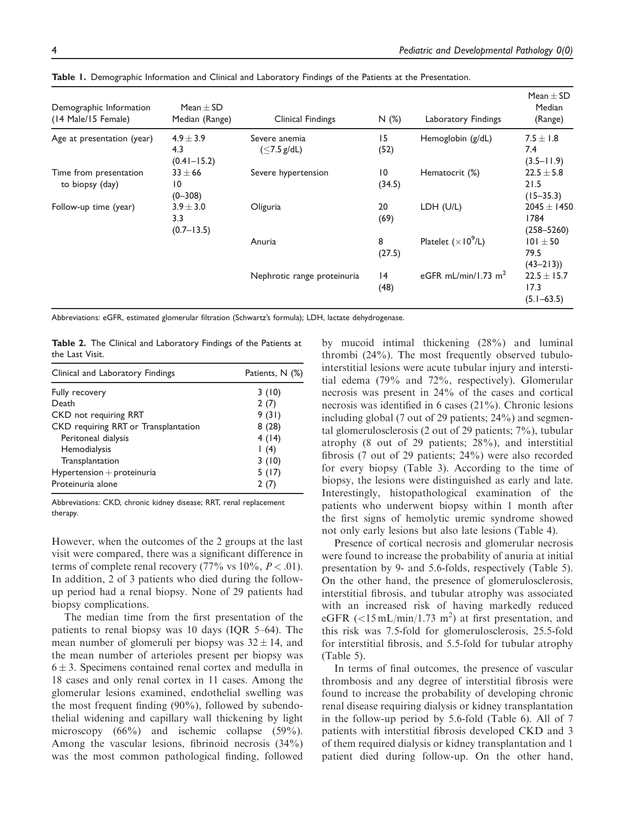| Demographic Information<br>(14 Male/15 Female) | Mean $\pm$ SD<br>Median (Range)         | Clinical Findings                  | N(%)         | Laboratory Findings             | Mean $\pm$ SD<br>Median<br>(Range)        |
|------------------------------------------------|-----------------------------------------|------------------------------------|--------------|---------------------------------|-------------------------------------------|
| Age at presentation (year)                     | $4.9 \pm 3.9$<br>4.3<br>$(0.41 - 15.2)$ | Severe anemia<br>$(\leq 7.5$ g/dL) | 15<br>(52)   | Hemoglobin (g/dL)               | $7.5 \pm 1.8$<br>7.4<br>$(3.5 - 11.9)$    |
| Time from presentation<br>to biopsy (day)      | $33 \pm 66$<br>10<br>$(0 - 308)$        | Severe hypertension                | 10<br>(34.5) | Hematocrit (%)                  | $22.5 \pm 5.8$<br>21.5<br>$(15 - 35.3)$   |
| Follow-up time (year)                          | $3.9 \pm 3.0$<br>3.3<br>$(0.7 - 13.5)$  | Oliguria                           | 20<br>(69)   | LDH (U/L)                       | $2045 \pm 1450$<br>1784<br>$(258 - 5260)$ |
|                                                |                                         | Anuria                             | 8<br>(27.5)  | Platelet $(\times 10^9$ /L)     | $101 \pm 50$<br>79.5<br>$(43 - 213)$      |
|                                                |                                         | Nephrotic range proteinuria        | 4<br>(48)    | eGFR mL/min/1.73 m <sup>2</sup> | $22.5 \pm 15.7$<br>17.3<br>$(5.1 - 63.5)$ |

Table 1. Demographic Information and Clinical and Laboratory Findings of the Patients at the Presentation.

Abbreviations: eGFR, estimated glomerular filtration (Schwartz's formula); LDH, lactate dehydrogenase.

Table 2. The Clinical and Laboratory Findings of the Patients at the Last Visit.

| Clinical and Laboratory Findings     | Patients, N (%) |
|--------------------------------------|-----------------|
| Fully recovery                       | 3(10)           |
| Death                                | 2(7)            |
| <b>CKD</b> not requiring RRT         | 9(31)           |
| CKD requiring RRT or Transplantation | 8(28)           |
| Peritoneal dialysis                  | 4(14)           |
| Hemodialysis                         | 1(4)            |
| Transplantation                      | 3(10)           |
| $Hypertension + proteinuria$         | 5(17)           |
| Proteinuria alone                    | 2(7)            |

Abbreviations: CKD, chronic kidney disease; RRT, renal replacement therapy.

However, when the outcomes of the 2 groups at the last visit were compared, there was a significant difference in terms of complete renal recovery (77% vs  $10\%$ ,  $P < .01$ ). In addition, 2 of 3 patients who died during the followup period had a renal biopsy. None of 29 patients had biopsy complications.

The median time from the first presentation of the patients to renal biopsy was 10 days (IQR 5–64). The mean number of glomeruli per biopsy was  $32 \pm 14$ , and the mean number of arterioles present per biopsy was  $6 \pm 3$ . Specimens contained renal cortex and medulla in 18 cases and only renal cortex in 11 cases. Among the glomerular lesions examined, endothelial swelling was the most frequent finding (90%), followed by subendothelial widening and capillary wall thickening by light microscopy  $(66\%)$  and ischemic collapse  $(59\%)$ . Among the vascular lesions, fibrinoid necrosis (34%) was the most common pathological finding, followed

by mucoid intimal thickening (28%) and luminal thrombi (24%). The most frequently observed tubulointerstitial lesions were acute tubular injury and interstitial edema (79% and 72%, respectively). Glomerular necrosis was present in 24% of the cases and cortical necrosis was identified in 6 cases (21%). Chronic lesions including global (7 out of 29 patients; 24%) and segmental glomerulosclerosis (2 out of 29 patients; 7%), tubular atrophy (8 out of 29 patients; 28%), and interstitial fibrosis (7 out of 29 patients; 24%) were also recorded for every biopsy (Table 3). According to the time of biopsy, the lesions were distinguished as early and late. Interestingly, histopathological examination of the patients who underwent biopsy within 1 month after the first signs of hemolytic uremic syndrome showed not only early lesions but also late lesions (Table 4).

Presence of cortical necrosis and glomerular necrosis were found to increase the probability of anuria at initial presentation by 9- and 5.6-folds, respectively (Table 5). On the other hand, the presence of glomerulosclerosis, interstitial fibrosis, and tubular atrophy was associated with an increased risk of having markedly reduced eGFR  $(<15 \text{ mL/min}/1.73 \text{ m}^2)$  at first presentation, and this risk was 7.5-fold for glomerulosclerosis, 25.5-fold for interstitial fibrosis, and 5.5-fold for tubular atrophy (Table 5).

In terms of final outcomes, the presence of vascular thrombosis and any degree of interstitial fibrosis were found to increase the probability of developing chronic renal disease requiring dialysis or kidney transplantation in the follow-up period by 5.6-fold (Table 6). All of 7 patients with interstitial fibrosis developed CKD and 3 of them required dialysis or kidney transplantation and 1 patient died during follow-up. On the other hand,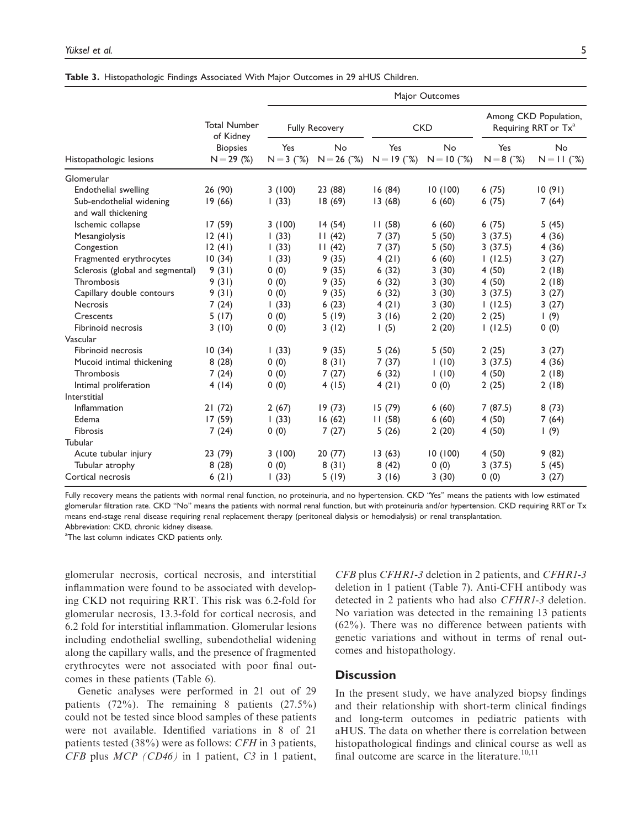|  |  |  | Table 3. Histopathologic Findings Associated With Major Outcomes in 29 aHUS Children. |
|--|--|--|---------------------------------------------------------------------------------------|
|--|--|--|---------------------------------------------------------------------------------------|

|                                  |                                  |              |                            |                        | Major Outcomes         |                           |                                                           |
|----------------------------------|----------------------------------|--------------|----------------------------|------------------------|------------------------|---------------------------|-----------------------------------------------------------|
|                                  | <b>Total Number</b><br>of Kidney |              | <b>Fully Recovery</b>      |                        | <b>CKD</b>             |                           | Among CKD Population,<br>Requiring RRT or Tx <sup>a</sup> |
|                                  | <b>Biopsies</b>                  | Yes          | No                         | Yes                    | No                     | Yes                       | No                                                        |
| Histopathologic lesions          | $N = 29$ (%)                     | $N = 3$ (~%) | $N = 26$ ( $\frac{8}{2}$ ) | $N = 19$ ( $\degree$ ) | $N = 10$ ( $\degree$ ) | $N = 8$ ( $\frac{8}{2}$ ) | $N = 11$ ( $\frac{8}{2}$ )                                |
| Glomerular                       |                                  |              |                            |                        |                        |                           |                                                           |
| Endothelial swelling             | 26 (90)                          | 3(100)       | 23 (88)                    | 16(84)                 | 10(100)                | 6(75)                     | 10(91)                                                    |
| Sub-endothelial widening         | 19(66)                           | 1(33)        | 18(69)                     | 13(68)                 | 6(60)                  | 6(75)                     | 7(64)                                                     |
| and wall thickening              |                                  |              |                            |                        |                        |                           |                                                           |
| Ischemic collapse                | 17(59)                           | 3(100)       | 14(54)                     | 11(58)                 | 6(60)                  | 6(75)                     | 5(45)                                                     |
| Mesangiolysis                    | 12(41)                           | 1(33)        | 11(42)                     | 7(37)                  | 5(50)                  | 3(37.5)                   | 4(36)                                                     |
| Congestion                       | 12(41)                           | (33)         | 11(42)                     | 7(37)                  | 5(50)                  | 3(37.5)                   | 4(36)                                                     |
| Fragmented erythrocytes          | 10(34)                           | (33)         | 9(35)                      | 4(21)                  | 6(60)                  | 1(12.5)                   | 3(27)                                                     |
| Sclerosis (global and segmental) | 9(31)                            | 0(0)         | 9(35)                      | 6(32)                  | 3(30)                  | 4(50)                     | 2(18)                                                     |
| Thrombosis                       | 9(31)                            | 0(0)         | 9(35)                      | 6(32)                  | 3(30)                  | 4(50)                     | 2(18)                                                     |
| Capillary double contours        | 9(31)                            | 0(0)         | 9(35)                      | 6(32)                  | 3(30)                  | 3(37.5)                   | 3(27)                                                     |
| Necrosis                         | 7(24)                            | (33)         | 6(23)                      | 4(21)                  | 3(30)                  | 1(12.5)                   | 3(27)                                                     |
| Crescents                        | 5(17)                            | 0(0)         | 5(19)                      | 3(16)                  | 2(20)                  | 2(25)                     | 1(9)                                                      |
| Fibrinoid necrosis               | 3(10)                            | 0(0)         | 3(12)                      | 1(5)                   | 2(20)                  | 1(12.5)                   | 0(0)                                                      |
| Vascular                         |                                  |              |                            |                        |                        |                           |                                                           |
| Fibrinoid necrosis               | 10(34)                           | (33)         | 9(35)                      | 5(26)                  | 5(50)                  | 2(25)                     | 3(27)                                                     |
| Mucoid intimal thickening        | 8(28)                            | 0(0)         | 8(31)                      | 7(37)                  | 1(10)                  | 3(37.5)                   | 4(36)                                                     |
| Thrombosis                       | 7(24)                            | 0(0)         | 7(27)                      | 6(32)                  | 1(10)                  | 4(50)                     | 2(18)                                                     |
| Intimal proliferation            | 4(14)                            | 0(0)         | 4(15)                      | 4(21)                  | 0(0)                   | 2(25)                     | 2(18)                                                     |
| Interstitial                     |                                  |              |                            |                        |                        |                           |                                                           |
| Inflammation                     | 21(72)                           | 2(67)        | 19(73)                     | 15(79)                 | 6(60)                  | 7(87.5)                   | 8(73)                                                     |
| Edema                            | 17(59)                           | 1(33)        | 16(62)                     | 11(58)                 | 6(60)                  | 4(50)                     | 7(64)                                                     |
| Fibrosis                         | 7(24)                            | 0(0)         | 7(27)                      | 5(26)                  | 2(20)                  | 4(50)                     | 1(9)                                                      |
| Tubular                          |                                  |              |                            |                        |                        |                           |                                                           |
| Acute tubular injury             | 23(79)                           | 3(100)       | 20(77)                     | 13(63)                 | 10(100)                | 4(50)                     | 9(82)                                                     |
| Tubular atrophy                  | 8(28)                            | 0(0)         | 8(31)                      | 8(42)                  | 0(0)                   | 3(37.5)                   | 5(45)                                                     |
| Cortical necrosis                | 6(21)                            | 1(33)        | 5(19)                      | 3(16)                  | 3(30)                  | 0(0)                      | 3(27)                                                     |

Fully recovery means the patients with normal renal function, no proteinuria, and no hypertension. CKD "Yes" means the patients with low estimated glomerular filtration rate. CKD "No" means the patients with normal renal function, but with proteinuria and/or hypertension. CKD requiring RRT or Tx means end-stage renal disease requiring renal replacement therapy (peritoneal dialysis or hemodialysis) or renal transplantation. Abbreviation: CKD, chronic kidney disease.

<sup>a</sup>The last column indicates CKD patients only.

glomerular necrosis, cortical necrosis, and interstitial inflammation were found to be associated with developing CKD not requiring RRT. This risk was 6.2-fold for glomerular necrosis, 13.3-fold for cortical necrosis, and 6.2 fold for interstitial inflammation. Glomerular lesions including endothelial swelling, subendothelial widening along the capillary walls, and the presence of fragmented erythrocytes were not associated with poor final outcomes in these patients (Table 6).

Genetic analyses were performed in 21 out of 29 patients (72%). The remaining 8 patients (27.5%) could not be tested since blood samples of these patients were not available. Identified variations in 8 of 21 patients tested (38%) were as follows: CFH in 3 patients,  $CFB$  plus  $MCP$  (CD46) in 1 patient, C3 in 1 patient,

CFB plus CFHR1-3 deletion in 2 patients, and CFHR1-3 deletion in 1 patient (Table 7). Anti-CFH antibody was detected in 2 patients who had also CFHR1-3 deletion. No variation was detected in the remaining 13 patients (62%). There was no difference between patients with genetic variations and without in terms of renal outcomes and histopathology.

## **Discussion**

In the present study, we have analyzed biopsy findings and their relationship with short-term clinical findings and long-term outcomes in pediatric patients with aHUS. The data on whether there is correlation between histopathological findings and clinical course as well as final outcome are scarce in the literature. $10,11$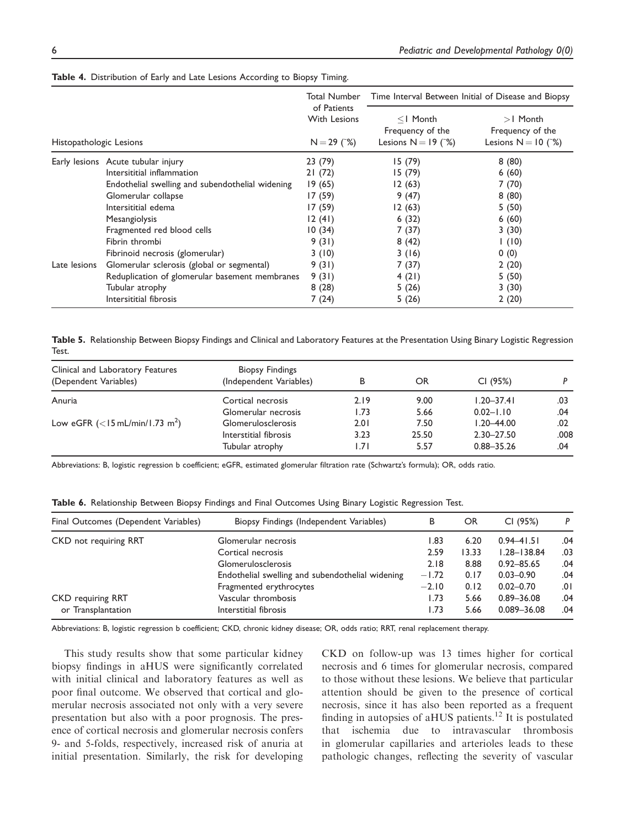|                         |                                                  |                                                              | Total Number Time Interval Between Initial of Disease and Biopsy     |                                                                    |
|-------------------------|--------------------------------------------------|--------------------------------------------------------------|----------------------------------------------------------------------|--------------------------------------------------------------------|
| Histopathologic Lesions |                                                  | of Patients<br><b>With Lesions</b><br>$N = 29$ ( $\degree$ ) | $\leq$ Month<br>Frequency of the<br>Lesions $N = 19$ ( $\degree\%$ ) | $>1$ Month<br>Frequency of the<br>Lesions $N = 10$ ( $\degree\%$ ) |
|                         | Early lesions Acute tubular injury               | 23 (79)                                                      | 15(79)                                                               | 8(80)                                                              |
|                         | Intersititial inflammation                       | 21(72)                                                       | 15(79)                                                               | 6(60)                                                              |
|                         | Endothelial swelling and subendothelial widening | 19(65)                                                       | 12(63)                                                               | 7(70)                                                              |
|                         | Glomerular collapse                              | 17 (59)                                                      | 9(47)                                                                | 8(80)                                                              |
|                         | Intersititial edema                              | 17 (59)                                                      | 12(63)                                                               | 5(50)                                                              |
|                         | Mesangiolysis                                    | 12(41)                                                       | 6(32)                                                                | 6(60)                                                              |
|                         | Fragmented red blood cells                       | 10(34)                                                       | 7(37)                                                                | 3(30)                                                              |
|                         | Fibrin thrombi                                   | 9(31)                                                        | 8(42)                                                                | 1(10)                                                              |
|                         | Fibrinoid necrosis (glomerular)                  | 3(10)                                                        | 3(16)                                                                | 0(0)                                                               |
| Late lesions            | Glomerular sclerosis (global or segmental)       | 9(31)                                                        | 7(37)                                                                | 2(20)                                                              |
|                         | Reduplication of glomerular basement membranes   | 9(31)                                                        | 4(21)                                                                | 5(50)                                                              |
|                         | Tubular atrophy                                  | 8(28)                                                        | 5(26)                                                                | 3(30)                                                              |
|                         | Intersititial fibrosis                           | 7(24)                                                        | 5(26)                                                                | 2(20)                                                              |

#### Table 4. Distribution of Early and Late Lesions According to Biopsy Timing.

Table 5. Relationship Between Biopsy Findings and Clinical and Laboratory Features at the Presentation Using Binary Logistic Regression Test.

| Clinical and Laboratory Features<br>(Dependent Variables) | <b>Biopsy Findings</b><br>(Independent Variables) | В    | OR    | CI (95%)       |      |
|-----------------------------------------------------------|---------------------------------------------------|------|-------|----------------|------|
| Anuria                                                    | Cortical necrosis                                 | 2.19 | 9.00  | $1.20 - 37.41$ | .03  |
|                                                           | Glomerular necrosis                               | 1.73 | 5.66  | $0.02 - 1.10$  | .04  |
| Low eGFR $(<$ 15 mL/min/1.73 m <sup>2</sup> )             | Glomerulosclerosis                                | 2.01 | 7.50  | $1.20 - 44.00$ | .02  |
|                                                           | Interstitial fibrosis                             | 3.23 | 25.50 | $2.30 - 27.50$ | .008 |
|                                                           | Tubular atrophy                                   | l.71 | 5.57  | $0.88 - 35.26$ | .04  |

Abbreviations: B, logistic regression b coefficient; eGFR, estimated glomerular filtration rate (Schwartz's formula); OR, odds ratio.

|  |  |  | <b>Table 6.</b> Relationship Between Biopsy Findings and Final Outcomes Using Binary Logistic Regression Test. |  |  |  |  |  |
|--|--|--|----------------------------------------------------------------------------------------------------------------|--|--|--|--|--|
|--|--|--|----------------------------------------------------------------------------------------------------------------|--|--|--|--|--|

| Final Outcomes (Dependent Variables) | Biopsy Findings (Independent Variables)          | в       | OR    | CI (95%)        | P   |
|--------------------------------------|--------------------------------------------------|---------|-------|-----------------|-----|
| CKD not requiring RRT                | Glomerular necrosis                              | I.83    | 6.20  | $0.94 - 41.51$  | .04 |
|                                      | Cortical necrosis                                | 2.59    | 13.33 | $1.28 - 138.84$ | .03 |
|                                      | <b>Glomerulosclerosis</b>                        | 2.18    | 8.88  | $0.92 - 85.65$  | .04 |
|                                      | Endothelial swelling and subendothelial widening | $-1.72$ | 0.17  | $0.03 - 0.90$   | .04 |
|                                      | Fragmented erythrocytes                          | $-2.10$ | 0.12  | $0.02 - 0.70$   | 0١. |
| <b>CKD</b> requiring RRT             | Vascular thrombosis                              | I.73    | 5.66  | $0.89 - 36.08$  | .04 |
| or Transplantation                   | Interstitial fibrosis                            | 1.73    | 5.66  | 0.089-36.08     | .04 |

Abbreviations: B, logistic regression b coefficient; CKD, chronic kidney disease; OR, odds ratio; RRT, renal replacement therapy.

This study results show that some particular kidney biopsy findings in aHUS were significantly correlated with initial clinical and laboratory features as well as poor final outcome. We observed that cortical and glomerular necrosis associated not only with a very severe presentation but also with a poor prognosis. The presence of cortical necrosis and glomerular necrosis confers 9- and 5-folds, respectively, increased risk of anuria at initial presentation. Similarly, the risk for developing

CKD on follow-up was 13 times higher for cortical necrosis and 6 times for glomerular necrosis, compared to those without these lesions. We believe that particular attention should be given to the presence of cortical necrosis, since it has also been reported as a frequent finding in autopsies of aHUS patients.<sup>12</sup> It is postulated that ischemia due to intravascular thrombosis in glomerular capillaries and arterioles leads to these pathologic changes, reflecting the severity of vascular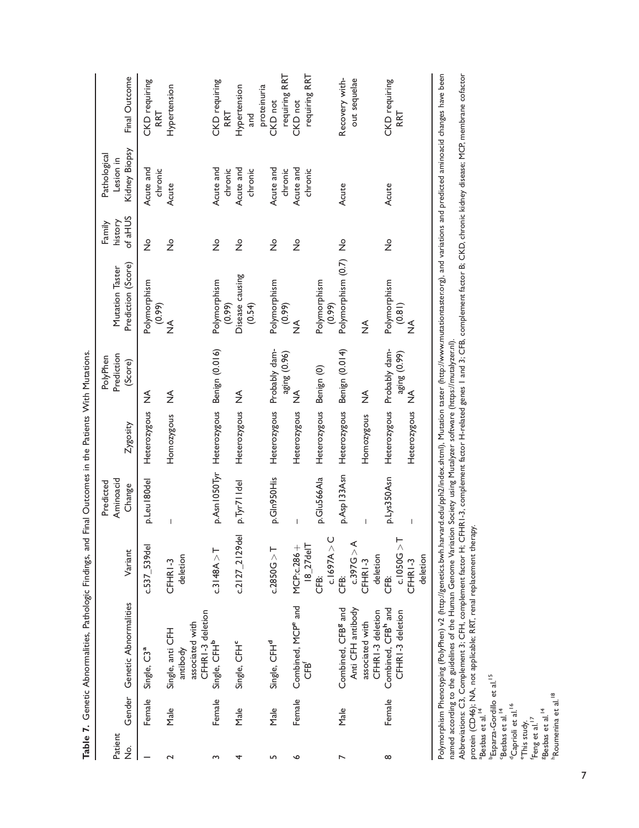|                 |        | Table 7. Genetic Abnormalities, Pathologic Findings, and            |                                | Final Outcomes in the Patients With Mutations. |                                          |                                            |                           |                   |                           |                                    |
|-----------------|--------|---------------------------------------------------------------------|--------------------------------|------------------------------------------------|------------------------------------------|--------------------------------------------|---------------------------|-------------------|---------------------------|------------------------------------|
| Patient         |        |                                                                     |                                | Aminoacid<br>Predicted                         |                                          | Prediction<br>PolyPhen                     | Mutation Taster           | history<br>Family | Pathological<br>Lesion in |                                    |
| s<br>2          |        | Gender Genetic Abnormalities                                        | Variant                        | Change                                         | Zygosity                                 | (Score)                                    | Prediction (Score)        | of aHUS           | Kidney Biopsy             | Final Outcome                      |
|                 | Female | Single, C3 <sup>a</sup>                                             | c.537_539del                   | p.Leu 80del                                    | Heterozygous NA                          |                                            | Polymorphism<br>(6.9)     | $\frac{1}{2}$     | Acute and<br>chronic      | CKD requiring<br>RRT               |
| 2               | Male   | CFHR1-3 deletion<br>associated with<br>Single, anti CFH<br>antibody | deletion<br>CFHR1-3            | I                                              | Homozygous                               | ≸                                          | $\frac{1}{2}$             | $\frac{1}{2}$     | Acute                     | Hypertension                       |
| S               | Female | Single, CFH <sup>b</sup>                                            | c.3148A > T                    |                                                | p.Asn1050Tyr Heterozygous Benign (0.016) |                                            | Polymorphism<br>(6.99)    | $\frac{1}{2}$     | Acute and<br>chronic      | CKD requiring<br>RRT               |
| 4               | Male   | Single, CFH <sup>c</sup>                                            | $c.2127$ _2129del              | p.Tyr711del                                    | Heterozygous NA                          |                                            | Disease causing<br>(0.54) | $\frac{1}{2}$     | Acute and<br>chronic      | proteinuria<br>Hypertension<br>and |
| LO <sub>1</sub> | Male   | Single, CFH <sup>d</sup>                                            | c.2850G > T                    | p.GIn950His                                    |                                          | Heterozygous Probably dam-<br>aging (0.96) | Polymorphism<br>(6.9)     | $\frac{1}{2}$     | Acute and<br>chronic      | requiring RRT<br>CKD not           |
| ∾               | Female | Combined, MCP <sup>e</sup> and<br>CFB'                              | $18.27$ delT<br>$MCP$ :c.286 + | $\overline{\phantom{a}}$                       | Heterozygous                             | ≸                                          | $\frac{1}{2}$             | $\frac{1}{2}$     | Acute and<br>chronic      | requiring RRT<br>CKD not           |
|                 |        |                                                                     | C.1697A > C<br>Ġ.<br>C         | p.Glu566Ala                                    | Heterozygous Benign (0)                  |                                            | Polymorphism<br>(0.99)    |                   |                           |                                    |
| ↖               | Male   | Anti CFH antibody<br>Combined, CFB <sup>8</sup> and                 | c.397G > A<br>CFB:             | p.Asp133Asn                                    | Heterozygous                             | Benign (0.014)                             | Polymorphism (0.7)        | $\frac{1}{2}$     | Acute                     | Recovery with-<br>out sequelae     |
|                 |        | CFHR1-3 deletion<br>associated with                                 | deletion<br>CFHR1-3            | $\overline{\phantom{a}}$                       | Homozygous                               | $\frac{1}{2}$                              | $\frac{1}{2}$             |                   |                           |                                    |
| $\infty$        | Female | Combined, CFB <sup>P</sup> and<br>CFHR1-3 deletion                  | c.1050 $G$<br>CFB:             | p.Lys350Asn                                    | Heterozygous                             | Probably dam-<br>aging (0.99)              | Polymorphism<br>(0.81)    | $\frac{1}{2}$     | Acute                     | CKD requiring<br>RRT               |
|                 |        |                                                                     | deletion<br>CFHRI-3            | $\overline{\phantom{a}}$                       | Heterozygous                             | $\frac{1}{2}$                              | $\frac{1}{2}$             |                   |                           |                                    |
|                 |        |                                                                     |                                |                                                |                                          |                                            |                           |                   |                           |                                    |

Polymorphism Phenotyping (PolyPhen) v2 [\(http://genetics.bwh.harvard.edu/pph2/index.shtml\)](http://genetics.bwh.harvard.edu/pph2/index.shtml), Mutation taster [\(http://www.mutationtaster.org](http://www.mutationtaster.org)), and variations and predicted aminoacid changes have been

Polymorphism Phenotyping (PolyPhen) v2 (http://genetics.bwh.harvard.edu/pph2/index.shtml), Mutation taster (http://www.mutationtaster.org), and variations and predicted aminoacid changes have been<br>named according to the gu named according to the guidelines of the Human Genome Variation Society using Mutalyzer software [\(https://mutalyzer.nl](https://mutalyzer.nl)).

Abbreviations: C3, Complement 3; CFH, complement factor H; CFHRI-3, complement factor H-related genes I and 3; CFB, complement factor B; CKD, chronic kidney disease; MCP, membrane cofactor<br>protein (CD46); NA, not applicabl Abbreviations: C3, Complement 3; CFH, complement factor H; CFHR1-3, complement factor H-related genes 1 and 3; CFB, complement factor B; CKD, chronic kidney disease; MCP, membrane cofactor protein (CD46); NA, not applicable; RRT, renal replacement therapy.

pessants of the set of the set of the set of the set of the set of the set of the set of the set of the set of the set of the set of the set of the set of the set of the set of the set of the set of the set of the set of t <sup>b</sup>Esparza-Gordillo et al.<sup>15</sup> <sup>d</sup>Caprioli et al.<sup>16</sup> <sup>d</sup>Caprioli et al.<sup>16</sup>  $a$ Besbas et al.<sup>14</sup>  $P$ esbas et al. $14$ <sup>e</sup>This study.<br>'Feng et al.<sup>17</sup>

gBesbas et al.14 hRoumenina et al.18

hRoumenina et al.<sup>18</sup>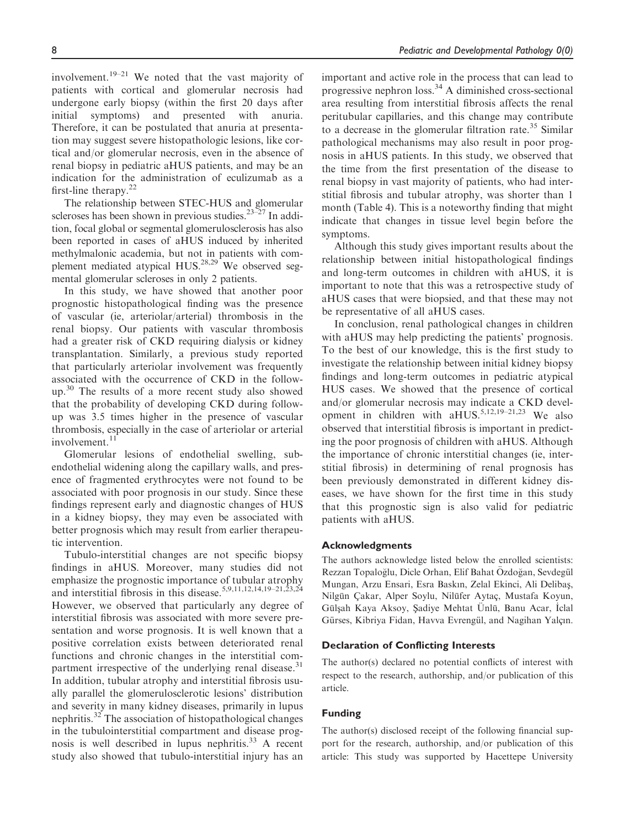involvement.<sup>19–21</sup> We noted that the vast majority of patients with cortical and glomerular necrosis had undergone early biopsy (within the first 20 days after initial symptoms) and presented with anuria. Therefore, it can be postulated that anuria at presentation may suggest severe histopathologic lesions, like cortical and/or glomerular necrosis, even in the absence of renal biopsy in pediatric aHUS patients, and may be an indication for the administration of eculizumab as a first-line therapy. $22$ 

The relationship between STEC-HUS and glomerular scleroses has been shown in previous studies.<sup>23–27</sup> In addition, focal global or segmental glomerulosclerosis has also been reported in cases of aHUS induced by inherited methylmalonic academia, but not in patients with complement mediated atypical HUS.<sup>28,29</sup> We observed segmental glomerular scleroses in only 2 patients.

In this study, we have showed that another poor prognostic histopathological finding was the presence of vascular (ie, arteriolar/arterial) thrombosis in the renal biopsy. Our patients with vascular thrombosis had a greater risk of CKD requiring dialysis or kidney transplantation. Similarly, a previous study reported that particularly arteriolar involvement was frequently associated with the occurrence of CKD in the followup.<sup>30</sup> The results of a more recent study also showed that the probability of developing CKD during followup was 3.5 times higher in the presence of vascular thrombosis, especially in the case of arteriolar or arterial involvement.<sup>11</sup>

Glomerular lesions of endothelial swelling, subendothelial widening along the capillary walls, and presence of fragmented erythrocytes were not found to be associated with poor prognosis in our study. Since these findings represent early and diagnostic changes of HUS in a kidney biopsy, they may even be associated with better prognosis which may result from earlier therapeutic intervention.

Tubulo-interstitial changes are not specific biopsy findings in aHUS. Moreover, many studies did not emphasize the prognostic importance of tubular atrophy and interstitial fibrosis in this disease.<sup>5,9,11,12,14,19–21,23,24</sup> However, we observed that particularly any degree of interstitial fibrosis was associated with more severe presentation and worse prognosis. It is well known that a positive correlation exists between deteriorated renal functions and chronic changes in the interstitial compartment irrespective of the underlying renal disease.<sup>31</sup> In addition, tubular atrophy and interstitial fibrosis usually parallel the glomerulosclerotic lesions' distribution and severity in many kidney diseases, primarily in lupus nephritis.<sup>32</sup> The association of histopathological changes in the tubulointerstitial compartment and disease prognosis is well described in lupus nephritis. $33$  A recent study also showed that tubulo-interstitial injury has an

important and active role in the process that can lead to progressive nephron loss. $34$  A diminished cross-sectional area resulting from interstitial fibrosis affects the renal peritubular capillaries, and this change may contribute to a decrease in the glomerular filtration rate.<sup>35</sup> Similar pathological mechanisms may also result in poor prognosis in aHUS patients. In this study, we observed that the time from the first presentation of the disease to renal biopsy in vast majority of patients, who had interstitial fibrosis and tubular atrophy, was shorter than 1 month (Table 4). This is a noteworthy finding that might indicate that changes in tissue level begin before the symptoms.

Although this study gives important results about the relationship between initial histopathological findings and long-term outcomes in children with aHUS, it is important to note that this was a retrospective study of aHUS cases that were biopsied, and that these may not be representative of all aHUS cases.

In conclusion, renal pathological changes in children with aHUS may help predicting the patients' prognosis. To the best of our knowledge, this is the first study to investigate the relationship between initial kidney biopsy findings and long-term outcomes in pediatric atypical HUS cases. We showed that the presence of cortical and/or glomerular necrosis may indicate a CKD development in children with aHUS.<sup>5,12,19–21,23</sup> We also observed that interstitial fibrosis is important in predicting the poor prognosis of children with aHUS. Although the importance of chronic interstitial changes (ie, interstitial fibrosis) in determining of renal prognosis has been previously demonstrated in different kidney diseases, we have shown for the first time in this study that this prognostic sign is also valid for pediatric patients with aHUS.

#### Acknowledgments

The authors acknowledge listed below the enrolled scientists: Rezzan Topaloğlu, Dicle Orhan, Elif Bahat Özdoğan, Sevdegül Mungan, Arzu Ensari, Esra Baskın, Zelal Ekinci, Ali Delibas¸, Nilgün Çakar, Alper Soylu, Nilüfer Aytaç, Mustafa Koyun, Gülşah Kaya Aksoy, Şadiye Mehtat Ünlü, Banu Acar, İclal Gürses, Kibriya Fidan, Havva Evrengül, and Nagihan Yalçın.

#### Declaration of Conflicting Interests

The author(s) declared no potential conflicts of interest with respect to the research, authorship, and/or publication of this article.

#### Funding

The author(s) disclosed receipt of the following financial support for the research, authorship, and/or publication of this article: This study was supported by Hacettepe University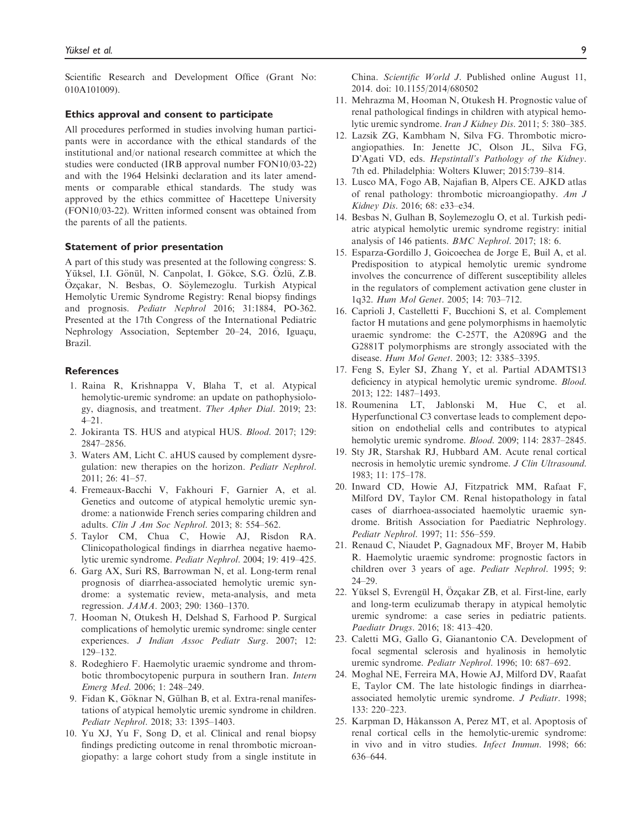Scientific Research and Development Office (Grant No: 010A101009).

#### Ethics approval and consent to participate

All procedures performed in studies involving human participants were in accordance with the ethical standards of the institutional and/or national research committee at which the studies were conducted (IRB approval number FON10/03-22) and with the 1964 Helsinki declaration and its later amendments or comparable ethical standards. The study was approved by the ethics committee of Hacettepe University (FON10/03-22). Written informed consent was obtained from the parents of all the patients.

#### Statement of prior presentation

A part of this study was presented at the following congress: S. Yüksel, I.I. Gönül, N. Canpolat, I. Gökce, S.G. Özlü, Z.B. Özçakar, N. Besbas, O. Söylemezoglu. Turkish Atypical Hemolytic Uremic Syndrome Registry: Renal biopsy findings and prognosis. Pediatr Nephrol 2016; 31:1884, PO-362. Presented at the 17th Congress of the International Pediatric Nephrology Association, September 20–24, 2016, Iguaçu, Brazil.

#### References

- 1. Raina R, Krishnappa V, Blaha T, et al. Atypical hemolytic-uremic syndrome: an update on pathophysiology, diagnosis, and treatment. Ther Apher Dial. 2019; 23: 4–21.
- 2. Jokiranta TS. HUS and atypical HUS. Blood. 2017; 129: 2847–2856.
- 3. Waters AM, Licht C. aHUS caused by complement dysregulation: new therapies on the horizon. Pediatr Nephrol. 2011; 26: 41–57.
- 4. Fremeaux-Bacchi V, Fakhouri F, Garnier A, et al. Genetics and outcome of atypical hemolytic uremic syndrome: a nationwide French series comparing children and adults. Clin J Am Soc Nephrol. 2013; 8: 554–562.
- 5. Taylor CM, Chua C, Howie AJ, Risdon RA. Clinicopathological findings in diarrhea negative haemolytic uremic syndrome. Pediatr Nephrol. 2004; 19: 419–425.
- 6. Garg AX, Suri RS, Barrowman N, et al. Long-term renal prognosis of diarrhea-associated hemolytic uremic syndrome: a systematic review, meta-analysis, and meta regression. JAMA. 2003; 290: 1360–1370.
- 7. Hooman N, Otukesh H, Delshad S, Farhood P. Surgical complications of hemolytic uremic syndrome: single center experiences. J Indian Assoc Pediatr Surg. 2007; 12: 129–132.
- 8. Rodeghiero F. Haemolytic uraemic syndrome and thrombotic thrombocytopenic purpura in southern Iran. Intern Emerg Med. 2006; 1: 248–249.
- 9. Fidan K, Göknar N, Gülhan B, et al. Extra-renal manifestations of atypical hemolytic uremic syndrome in children. Pediatr Nephrol. 2018; 33: 1395–1403.
- 10. Yu XJ, Yu F, Song D, et al. Clinical and renal biopsy findings predicting outcome in renal thrombotic microangiopathy: a large cohort study from a single institute in

China. Scientific World J. Published online August 11, 2014. doi: 10.1155/2014/680502

- 11. Mehrazma M, Hooman N, Otukesh H. Prognostic value of renal pathological findings in children with atypical hemolytic uremic syndrome. Iran J Kidney Dis. 2011; 5: 380–385.
- 12. Lazsik ZG, Kambham N, Silva FG. Thrombotic microangiopathies. In: Jenette JC, Olson JL, Silva FG, D'Agati VD, eds. Hepstintall's Pathology of the Kidney. 7th ed. Philadelphia: Wolters Kluwer; 2015:739–814.
- 13. Lusco MA, Fogo AB, Najafian B, Alpers CE. AJKD atlas of renal pathology: thrombotic microangiopathy. Am J Kidney Dis. 2016; 68: e33–e34.
- 14. Besbas N, Gulhan B, Soylemezoglu O, et al. Turkish pediatric atypical hemolytic uremic syndrome registry: initial analysis of 146 patients. BMC Nephrol. 2017; 18: 6.
- 15. Esparza-Gordillo J, Goicoechea de Jorge E, Buil A, et al. Predisposition to atypical hemolytic uremic syndrome involves the concurrence of different susceptibility alleles in the regulators of complement activation gene cluster in 1q32. Hum Mol Genet. 2005; 14: 703–712.
- 16. Caprioli J, Castelletti F, Bucchioni S, et al. Complement factor H mutations and gene polymorphisms in haemolytic uraemic syndrome: the C-257T, the A2089G and the G2881T polymorphisms are strongly associated with the disease. Hum Mol Genet. 2003; 12: 3385–3395.
- 17. Feng S, Eyler SJ, Zhang Y, et al. Partial ADAMTS13 deficiency in atypical hemolytic uremic syndrome. Blood. 2013; 122: 1487–1493.
- 18. Roumenina LT, Jablonski M, Hue C, et al. Hyperfunctional C3 convertase leads to complement deposition on endothelial cells and contributes to atypical hemolytic uremic syndrome. Blood. 2009; 114: 2837–2845.
- 19. Sty JR, Starshak RJ, Hubbard AM. Acute renal cortical necrosis in hemolytic uremic syndrome. J Clin Ultrasound. 1983; 11: 175–178.
- 20. Inward CD, Howie AJ, Fitzpatrick MM, Rafaat F, Milford DV, Taylor CM. Renal histopathology in fatal cases of diarrhoea-associated haemolytic uraemic syndrome. British Association for Paediatric Nephrology. Pediatr Nephrol. 1997; 11: 556–559.
- 21. Renaud C, Niaudet P, Gagnadoux MF, Broyer M, Habib R. Haemolytic uraemic syndrome: prognostic factors in children over 3 years of age. Pediatr Nephrol. 1995; 9: 24–29.
- 22. Yüksel S, Evrengül H, Özçakar ZB, et al. First-line, early and long-term eculizumab therapy in atypical hemolytic uremic syndrome: a case series in pediatric patients. Paediatr Drugs. 2016; 18: 413–420.
- 23. Caletti MG, Gallo G, Gianantonio CA. Development of focal segmental sclerosis and hyalinosis in hemolytic uremic syndrome. Pediatr Nephrol. 1996; 10: 687–692.
- 24. Moghal NE, Ferreira MA, Howie AJ, Milford DV, Raafat E, Taylor CM. The late histologic findings in diarrheaassociated hemolytic uremic syndrome. J Pediatr. 1998; 133: 220–223.
- 25. Karpman D, Håkansson A, Perez MT, et al. Apoptosis of renal cortical cells in the hemolytic-uremic syndrome: in vivo and in vitro studies. Infect Immun. 1998; 66: 636–644.